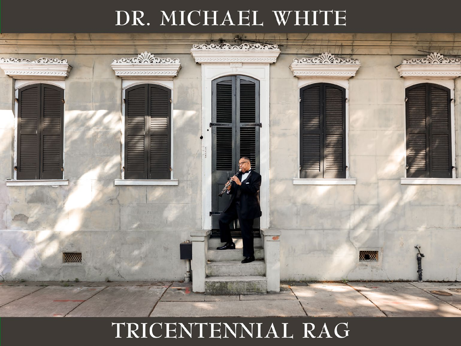## DR. MICHAEL WHITE



# TRICENTENNIAL RAG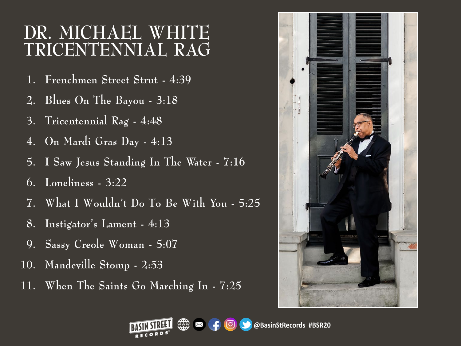## **DR. MICHAEL WHITE TRICENTENNIAL RAG**

- **1. Frenchmen Street Strut - 4:39**
- **2. Blues On The Bayou - 3:18**
- **3. Tricentennial Rag - 4:48**
- **4. On Mardi Gras Day - 4:13**
- **5. I Saw Jesus Standing In The Water - 7:16**
- **6. Loneliness - 3:22**
- **7. What I Wouldn't Do To Be With You - 5:25**
- **8. Instigator's Lament - 4:13**
- **9. Sassy Creole Woman - 5:07**
- **10. Mandeville Stomp - 2:53**
- **11. When The Saints Go Marching In - 7:25**



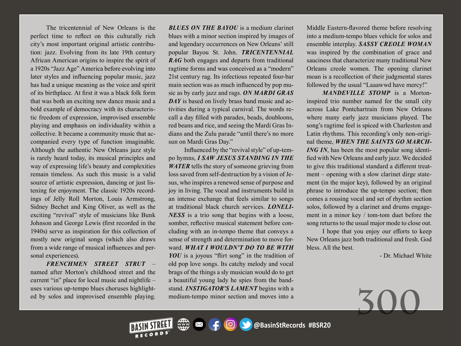The tricentennial of New Orleans is the perfect time to reflect on this culturally rich city's most important original artistic contribution: jazz. Evolving from its late 19th century African American origins to inspire the spirit of a 1920s "Jazz Age" America before evolving into later styles and influencing popular music, jazz has had a unique meaning as the voice and spirit of its birthplace. At first it was a black folk form that was both an exciting new dance music and a bold example of democracy with its characteristic freedom of expression, improvised ensemble playing and emphasis on individuality within a collective. It became a community music that accompanied every type of function imaginable. Although the authentic New Orleans jazz style is rarely heard today, its musical principles and way of expressing life's beauty and complexities remain timeless. As such this music is a valid source of artistic expression, dancing or just listening for enjoyment. The classic 1920s recordings of Jelly Roll Morton, Louis Armstrong, Sidney Bechet and King Oliver, as well as the exciting "revival" style of musicians like Bunk Johnson and George Lewis (first recorded in the 1940s) serve as inspiration for this collection of mostly new original songs (which also draws from a wide range of musical influences and personal experiences).

*FRENCHMEN STREET STRUT* – named after Morton's childhood street and the current "in" place for local music and nightlife – uses various up-tempo blues choruses highlighted by solos and improvised ensemble playing.

*BLUES ON THE BAYOU* is a medium clarinet blues with a minor section inspired by images of and legendary occurrences on New Orleans' still popular Bayou St. John. *TRICENTENNIAL RAG* both engages and departs from traditional ragtime forms and was conceived as a "modern" 21st century rag. Its infectious repeated four-bar main section was as much influenced by pop music as by early jazz and rags. *ON MARDI GRAS DAY* is based on lively brass band music and activities during a typical carnival. The words recall a day filled with parades, beads, doubloons, red beans and rice, and seeing the Mardi Gras Indians and the Zulu parade "until there's no more sun on Mardi Gras Day."

Influenced by the "revival style" of up-tempo hymns, *I SAW JESUS STANDING IN THE WATER* tells the story of someone grieving from loss saved from self-destruction by a vision of Jesus, who inspires a renewed sense of purpose and joy in living. The vocal and instruments build in an intense exchange that feels similar to songs at traditional black church services. *LONELI-NESS* is a trio song that begins with a loose, somber, reflective musical statement before concluding with an in-tempo theme that conveys a sense of strength and determination to move forward. *WHAT I WOULDN'T DO TO BE WITH YOU* is a joyous "flirt song" in the tradition of old pop love songs. Its catchy melody and vocal brags of the things a sly musician would do to get a beautiful young lady he spies from the bandstand. *INSTIGATOR'S LAMENT* begins with a medium-tempo minor section and moves into a

Middle Eastern-flavored theme before resolving into a medium-tempo blues vehicle for solos and ensemble interplay. *SASSY CREOLE WOMAN* was inspired by the combination of grace and sauciness that characterize many traditional New Orleans creole women. The opening clarinet moan is a recollection of their judgmental stares followed by the usual "Laaawwd have mercy!"

*MANDEVILLE STOMP* is a Mortoninspired trio number named for the small city across Lake Pontchartrain from New Orleans where many early jazz musicians played. The song's ragtime feel is spiced with Charleston and Latin rhythms. This recording's only non-original theme, *WHEN THE SAINTS GO MARCH-ING IN*, has been the most popular song identified with New Orleans and early jazz. We decided to give this traditional standard a different treatment – opening with a slow clarinet dirge statement (in the major key), followed by an original phrase to introduce the up-tempo section; then comes a rousing vocal and set of rhythm section solos, followed by a clarinet and drums engagement in a minor key / tom-tom duet before the song returns to the usual major mode to close out.

I hope that you enjoy our efforts to keep New Orleans jazz both traditional and fresh. God bless. All the best.

- Dr. Michael White

**300**

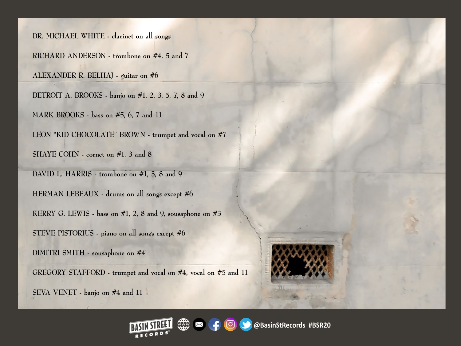**DR. MICHAEL WHITE - clarinet on all songs**

**RICHARD ANDERSON - trombone on #4, 5 and 7**

**ALEXANDER R. BELHAJ - guitar on #6**

**DETROIT A. BROOKS - banjo on #1, 2, 3, 5, 7, 8 and 9**

**MARK BROOKS - bass on #5, 6, 7 and 11** 

**LEON "KID CHOCOLATE" BROWN - trumpet and vocal on #7**

**SHAYE COHN - cornet on #1, 3 and 8**

**DAVID L. HARRIS - trombone on #1, 3, 8 and 9 HERMAN LEBEAUX - drums on all songs except #6 KERRY G. LEWIS - bass on #1, 2, 8 and 9, sousaphone on #3 STEVE PISTORIUS - piano on all songs except #6 DIMITRI SMITH - sousaphone on #4**

**GREGORY STAFFORD - trumpet and vocal on #4, vocal on #5 and 11**

**SEVA VENET - banjo on #4 and 11**

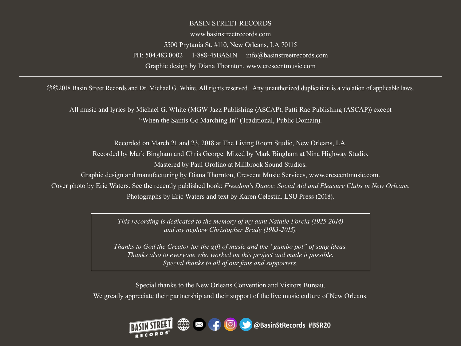#### BASIN STREET RECORDS

www.basinstreetrecords.com 5500 Prytania St. #110, New Orleans, LA 70115 PH: 504.483.0002 1-888-45BASIN info@basinstreetrecords.com Graphic design by Diana Thornton, www.crescentmusic.com

©©2018 Basin Street Records and Dr. Michael G. White. All rights reserved. Any unauthorized duplication is a violation of applicable laws.

All music and lyrics by Michael G. White (MGW Jazz Publishing (ASCAP), Patti Rae Publishing (ASCAP)) except "When the Saints Go Marching In" (Traditional, Public Domain).

Recorded on March 21 and 23, 2018 at The Living Room Studio, New Orleans, LA. Recorded by Mark Bingham and Chris George. Mixed by Mark Bingham at Nina Highway Studio. Mastered by Paul Orofino at Millbrook Sound Studios. Graphic design and manufacturing by Diana Thornton, Crescent Music Services, www.crescentmusic.com.

Cover photo by Eric Waters. See the recently published book: *Freedom's Dance: Social Aid and Pleasure Clubs in New Orleans*. Photographs by Eric Waters and text by Karen Celestin. LSU Press (2018).

> *This recording is dedicated to the memory of my aunt Natalie Forcia (1925-2014) and my nephew Christopher Brady (1983-2015).*

*Thanks to God the Creator for the gift of music and the "gumbo pot" of song ideas. Thanks also to everyone who worked on this project and made it possible. Special thanks to all of our fans and supporters.*

Special thanks to the New Orleans Convention and Visitors Bureau. We greatly appreciate their partnership and their support of the live music culture of New Orleans.